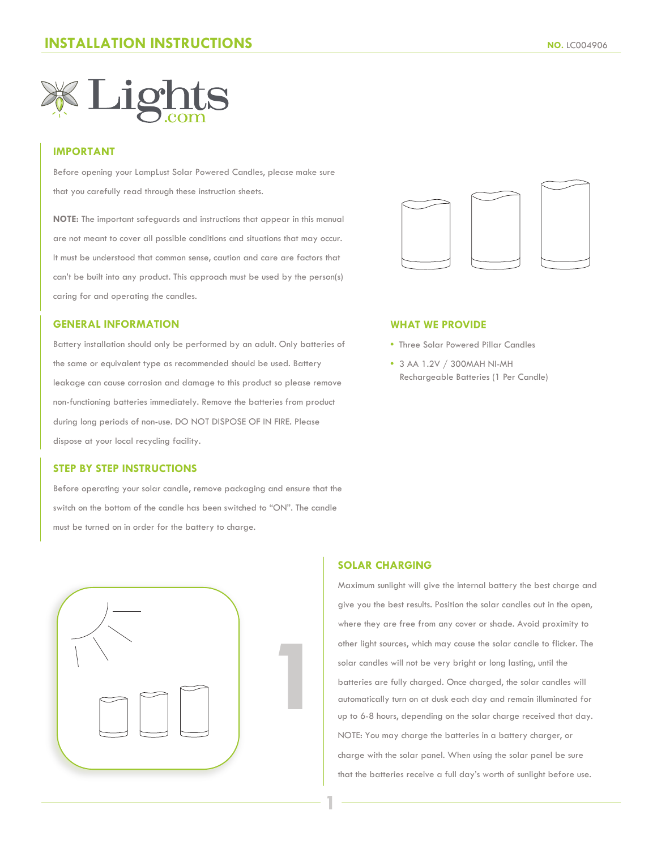

## **IMPORTANT**

Before opening your LampLust Solar Powered Candles, please make sure that you carefully read through these instruction sheets.

**NOTE:** The important safeguards and instructions that appear in this manual are not meant to cover all possible conditions and situations that may occur. It must be understood that common sense, caution and care are factors that can't be built into any product. This approach must be used by the person(s) caring for and operating the candles.

## **GENERAL INFORMATION**

Battery installation should only be performed by an adult. Only batteries of the same or equivalent type as recommended should be used. Battery leakage can cause corrosion and damage to this product so please remove non-functioning batteries immediately. Remove the batteries from product during long periods of non-use. DO NOT DISPOSE OF IN FIRE. Please dispose at your local recycling facility.

### **STEP BY STEP INSTRUCTIONS**

Before operating your solar candle, remove packaging and ensure that the switch on the bottom of the candle has been switched to "ON". The candle must be turned on in order for the battery to charge.





#### **WHAT WE PROVIDE**

- Three Solar Powered Pillar Candles
- **•** 3 AA 1.2V / 300MAH NI-MH Rechargeable Batteries (1 Per Candle)

# **SOLAR CHARGING**

**1**

Maximum sunlight will give the internal battery the best charge and give you the best results. Position the solar candles out in the open, where they are free from any cover or shade. Avoid proximity to other light sources, which may cause the solar candle to flicker. The solar candles will not be very bright or long lasting, until the batteries are fully charged. Once charged, the solar candles will automatically turn on at dusk each day and remain illuminated for up to 6-8 hours, depending on the solar charge received that day. NOTE: You may charge the batteries in a battery charger, or charge with the solar panel. When using the solar panel be sure that the batteries receive a full day's worth of sunlight before use.